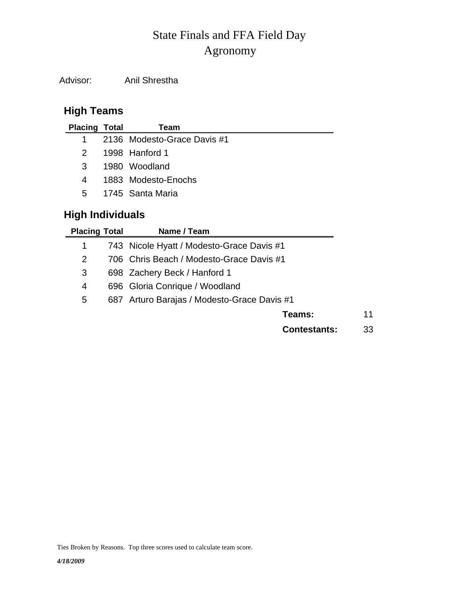# Agronomy State Finals and FFA Field Day

Advisor: Anil Shrestha

## **High Teams**

| <b>Placing Total</b> | Team                        |
|----------------------|-----------------------------|
| 1.                   | 2136 Modesto-Grace Davis #1 |
| 2.                   | 1998 Hanford 1              |
| 3                    | 1980 Woodland               |
| 4                    | 1883 Modesto-Enochs         |
| $5^{\circ}$          | -1745 - Santa Maria         |
|                      |                             |

### **High Individuals**

| <b>Placing Total</b> | Name / Team                                 |    |
|----------------------|---------------------------------------------|----|
| 1                    | 743 Nicole Hyatt / Modesto-Grace Davis #1   |    |
| 2                    | 706 Chris Beach / Modesto-Grace Davis #1    |    |
| 3                    | 698 Zachery Beck / Hanford 1                |    |
| 4                    | 696 Gloria Conrique / Woodland              |    |
| 5                    | 687 Arturo Barajas / Modesto-Grace Davis #1 |    |
|                      | Teams:                                      | 11 |
|                      | <b>Contestants:</b>                         | 33 |

Ties Broken by Reasons. Top three scores used to calculate team score.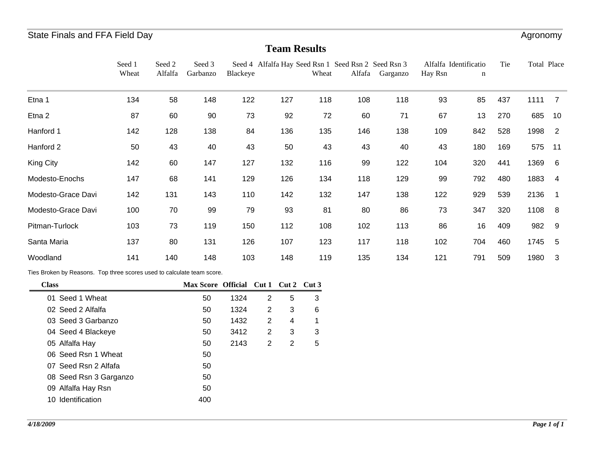### **Team Results**

|                    | Seed 1 | Seed 2  | Seed 3   |          | Seed 4 Alfalfa Hay Seed Rsn 1 Seed Rsn 2 Seed Rsn 3 |       |        |          | Alfalfa Identificatio |     | Tie | Total Place |                |
|--------------------|--------|---------|----------|----------|-----------------------------------------------------|-------|--------|----------|-----------------------|-----|-----|-------------|----------------|
|                    | Wheat  | Alfalfa | Garbanzo | Blackeye |                                                     | Wheat | Alfafa | Garganzo | Hay Rsn               | n   |     |             |                |
| Etna 1             | 134    | 58      | 148      | 122      | 127                                                 | 118   | 108    | 118      | 93                    | 85  | 437 | 1111        | 7              |
| Etna 2             | 87     | 60      | 90       | 73       | 92                                                  | 72    | 60     | 71       | 67                    | 13  | 270 | 685         | 10             |
| Hanford 1          | 142    | 128     | 138      | 84       | 136                                                 | 135   | 146    | 138      | 109                   | 842 | 528 | 1998        | $\overline{2}$ |
| Hanford 2          | 50     | 43      | 40       | 43       | 50                                                  | 43    | 43     | 40       | 43                    | 180 | 169 | 575         | $-11$          |
| King City          | 142    | 60      | 147      | 127      | 132                                                 | 116   | 99     | 122      | 104                   | 320 | 441 | 1369        | 6              |
| Modesto-Enochs     | 147    | 68      | 141      | 129      | 126                                                 | 134   | 118    | 129      | 99                    | 792 | 480 | 1883        | -4             |
| Modesto-Grace Davi | 142    | 131     | 143      | 110      | 142                                                 | 132   | 147    | 138      | 122                   | 929 | 539 | 2136        |                |
| Modesto-Grace Davi | 100    | 70      | 99       | 79       | 93                                                  | 81    | 80     | 86       | 73                    | 347 | 320 | 1108        | - 8            |
| Pitman-Turlock     | 103    | 73      | 119      | 150      | 112                                                 | 108   | 102    | 113      | 86                    | 16  | 409 | 982         | - 9            |
| Santa Maria        | 137    | 80      | 131      | 126      | 107                                                 | 123   | 117    | 118      | 102                   | 704 | 460 | 1745        | - 5            |
| Woodland           | 141    | 140     | 148      | 103      | 148                                                 | 119   | 135    | 134      | 121                   | 791 | 509 | 1980        | -3             |

Ties Broken by Reasons. Top three scores used to calculate team score.

| <b>Class</b>           | Max Score Official Cut 1 Cut 2 Cut 3 |      |   |   |   |
|------------------------|--------------------------------------|------|---|---|---|
| 01 Seed 1 Wheat        | 50                                   | 1324 | 2 | 5 | 3 |
| 02 Seed 2 Alfalfa      | 50                                   | 1324 | 2 | 3 | 6 |
| 03 Seed 3 Garbanzo     | 50                                   | 1432 | 2 | 4 | 1 |
| 04 Seed 4 Blackeye     | 50                                   | 3412 | 2 | 3 | 3 |
| 05 Alfalfa Hay         | 50                                   | 2143 | 2 | 2 | 5 |
| 06 Seed Rsn 1 Wheat    | 50                                   |      |   |   |   |
| 07 Seed Rsn 2 Alfafa   | 50                                   |      |   |   |   |
| 08 Seed Rsn 3 Garganzo | 50                                   |      |   |   |   |
| 09 Alfalfa Hay Rsn     | 50                                   |      |   |   |   |
| 10 Identification      | 400                                  |      |   |   |   |
|                        |                                      |      |   |   |   |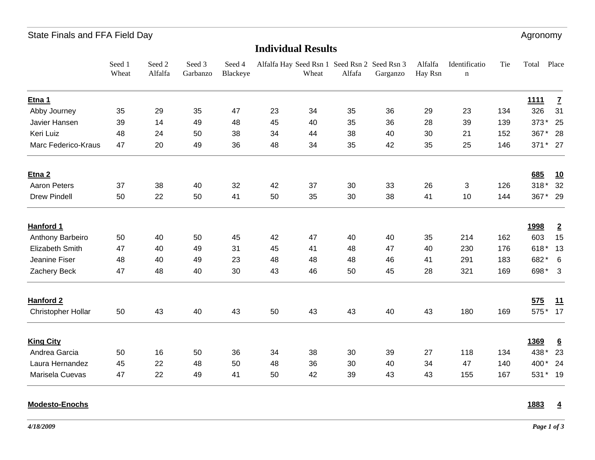### State Finals and FFA Field Day **Agronomy** 3. The state of the state of the state of the state of the state of the state of the state of the state of the state of the state of the state of the state of the state of the stat

#### **Individual Results**

|                     | Seed 1<br>Wheat | Seed 2<br>Alfalfa | Seed 3<br>Garbanzo | Seed 4<br>Blackeye |    | Wheat | Alfalfa Hay Seed Rsn 1 Seed Rsn 2 Seed Rsn 3<br>Alfafa | Garganzo | Alfalfa<br>Hay Rsn | Identificatio<br>$\mathbf n$ | Tie | Total       | Place                   |
|---------------------|-----------------|-------------------|--------------------|--------------------|----|-------|--------------------------------------------------------|----------|--------------------|------------------------------|-----|-------------|-------------------------|
| Etna 1              |                 |                   |                    |                    |    |       |                                                        |          |                    |                              |     | <u>1111</u> | $\overline{1}$          |
| Abby Journey        | 35              | 29                | 35                 | 47                 | 23 | 34    | 35                                                     | 36       | 29                 | 23                           | 134 | 326         | 31                      |
| Javier Hansen       | 39              | 14                | 49                 | 48                 | 45 | 40    | 35                                                     | 36       | 28                 | 39                           | 139 | 373*        | 25                      |
| Keri Luiz           | 48              | 24                | 50                 | 38                 | 34 | 44    | 38                                                     | 40       | 30                 | 21                           | 152 | 367*        | 28                      |
| Marc Federico-Kraus | 47              | 20                | 49                 | 36                 | 48 | 34    | 35                                                     | 42       | 35                 | 25                           | 146 | 371* 27     |                         |
| Etna <sub>2</sub>   |                 |                   |                    |                    |    |       |                                                        |          |                    |                              |     | 685         | <u>10</u>               |
| <b>Aaron Peters</b> | 37              | 38                | 40                 | 32                 | 42 | 37    | 30                                                     | 33       | 26                 | 3                            | 126 | $318*$      | 32                      |
| <b>Drew Pindell</b> | 50              | 22                | 50                 | 41                 | 50 | 35    | 30                                                     | 38       | 41                 | 10                           | 144 | 367*        | 29                      |
| Hanford 1           |                 |                   |                    |                    |    |       |                                                        |          |                    |                              |     | <u>1998</u> | $\overline{2}$          |
| Anthony Barbeiro    | 50              | 40                | 50                 | 45                 | 42 | 47    | 40                                                     | 40       | 35                 | 214                          | 162 | 603         | 15                      |
| Elizabeth Smith     | 47              | 40                | 49                 | 31                 | 45 | 41    | 48                                                     | 47       | 40                 | 230                          | 176 | 618*        | 13                      |
| Jeanine Fiser       | 48              | 40                | 49                 | 23                 | 48 | 48    | 48                                                     | 46       | 41                 | 291                          | 183 | 682*        | 6                       |
| Zachery Beck        | 47              | 48                | 40                 | 30                 | 43 | 46    | 50                                                     | 45       | 28                 | 321                          | 169 | 698*        | $\overline{\mathbf{3}}$ |
| Hanford 2           |                 |                   |                    |                    |    |       |                                                        |          |                    |                              |     | 575         | 11                      |
| Christopher Hollar  | 50              | 43                | 40                 | 43                 | 50 | 43    | 43                                                     | 40       | 43                 | 180                          | 169 | 575*        | 17                      |
| <b>King City</b>    |                 |                   |                    |                    |    |       |                                                        |          |                    |                              |     | <u>1369</u> | $\underline{6}$         |
| Andrea Garcia       | 50              | 16                | 50                 | 36                 | 34 | 38    | 30                                                     | 39       | 27                 | 118                          | 134 | 438*        | 23                      |
| Laura Hernandez     | 45              | 22                | 48                 | 50                 | 48 | 36    | 30                                                     | 40       | 34                 | 47                           | 140 | 400*        | 24                      |
| Marisela Cuevas     | 47              | 22                | 49                 | 41                 | 50 | 42    | 39                                                     | 43       | 43                 | 155                          | 167 | 531* 19     |                         |

#### **Modesto-Enochs**

#### **1883 4**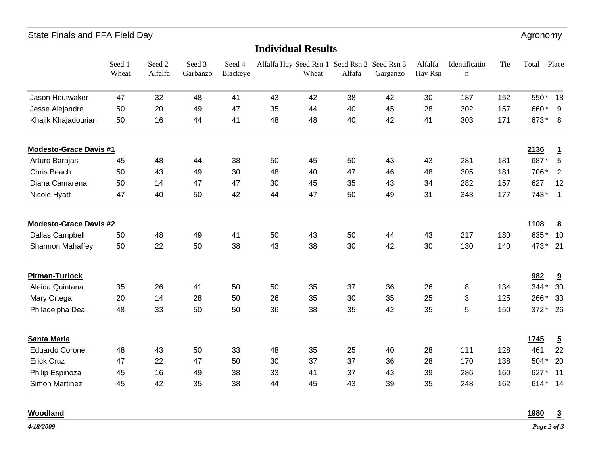### State Finals and FFA Field Day **Agronomy** 3. The state of the state of the state of the state of the state of the state of the state of the state of the state of the state of the state of the state of the state of the stat

| <b>Individual Results</b>     |                 |                   |                    |                    |    |       |                                                        |          |                    |                              |     |             |                |
|-------------------------------|-----------------|-------------------|--------------------|--------------------|----|-------|--------------------------------------------------------|----------|--------------------|------------------------------|-----|-------------|----------------|
|                               | Seed 1<br>Wheat | Seed 2<br>Alfalfa | Seed 3<br>Garbanzo | Seed 4<br>Blackeye |    | Wheat | Alfalfa Hay Seed Rsn 1 Seed Rsn 2 Seed Rsn 3<br>Alfafa | Garganzo | Alfalfa<br>Hay Rsn | Identificatio<br>$\mathbf n$ | Tie | Total       | Place          |
| Jason Heutwaker               | 47              | 32                | 48                 | 41                 | 43 | 42    | 38                                                     | 42       | 30                 | 187                          | 152 | 550*        | 18             |
| Jesse Alejandre               | 50              | 20                | 49                 | 47                 | 35 | 44    | 40                                                     | 45       | 28                 | 302                          | 157 | 660         | 9              |
| Khajik Khajadourian           | 50              | 16                | 44                 | 41                 | 48 | 48    | 40                                                     | 42       | 41                 | 303                          | 171 | 673*        | 8              |
| <b>Modesto-Grace Davis #1</b> |                 |                   |                    |                    |    |       |                                                        |          |                    |                              |     | 2136        | $\overline{1}$ |
| Arturo Barajas                | 45              | 48                | 44                 | 38                 | 50 | 45    | 50                                                     | 43       | 43                 | 281                          | 181 | 687*        | $\overline{5}$ |
| Chris Beach                   | 50              | 43                | 49                 | 30                 | 48 | 40    | 47                                                     | 46       | 48                 | 305                          | 181 | 706*        | 2              |
| Diana Camarena                | 50              | 14                | 47                 | 47                 | 30 | 45    | 35                                                     | 43       | 34                 | 282                          | 157 | 627         | 12             |
| Nicole Hyatt                  | 47              | 40                | 50                 | 42                 | 44 | 47    | 50                                                     | 49       | 31                 | 343                          | 177 | 743*        | $\overline{1}$ |
| <b>Modesto-Grace Davis #2</b> |                 |                   |                    |                    |    |       |                                                        |          |                    |                              |     | 1108        | 8              |
| Dallas Campbell               | 50              | 48                | 49                 | 41                 | 50 | 43    | 50                                                     | 44       | 43                 | 217                          | 180 | 635         | 10             |
| Shannon Mahaffey              | 50              | 22                | 50                 | 38                 | 43 | 38    | 30                                                     | 42       | 30                 | 130                          | 140 | 473*        | 21             |
| <b>Pitman-Turlock</b>         |                 |                   |                    |                    |    |       |                                                        |          |                    |                              |     | 982         | 9              |
| Aleida Quintana               | 35              | 26                | 41                 | 50                 | 50 | 35    | 37                                                     | 36       | 26                 | 8                            | 134 | $344*$      | 30             |
| Mary Ortega                   | 20              | 14                | 28                 | 50                 | 26 | 35    | 30                                                     | 35       | 25                 | 3                            | 125 | 266*        | 33             |
| Philadelpha Deal              | 48              | 33                | 50                 | 50                 | 36 | 38    | 35                                                     | 42       | 35                 | 5                            | 150 | 372*        | 26             |
| <b>Santa Maria</b>            |                 |                   |                    |                    |    |       |                                                        |          |                    |                              |     | <u>1745</u> | $\overline{5}$ |
| <b>Eduardo Coronel</b>        | 48              | 43                | 50                 | 33                 | 48 | 35    | 25                                                     | 40       | 28                 | 111                          | 128 | 461         | 22             |
| <b>Erick Cruz</b>             | 47              | 22                | 47                 | 50                 | 30 | 37    | 37                                                     | 36       | 28                 | 170                          | 138 | 504*        | 20             |
| Philip Espinoza               | 45              | 16                | 49                 | 38                 | 33 | 41    | 37                                                     | 43       | 39                 | 286                          | 160 | 627         | 11             |
| Simon Martinez                | 45              | 42                | 35                 | 38                 | 44 | 45    | 43                                                     | 39       | 35                 | 248                          | 162 | 614*        | 14             |

#### **Woodland**

**1980 3**